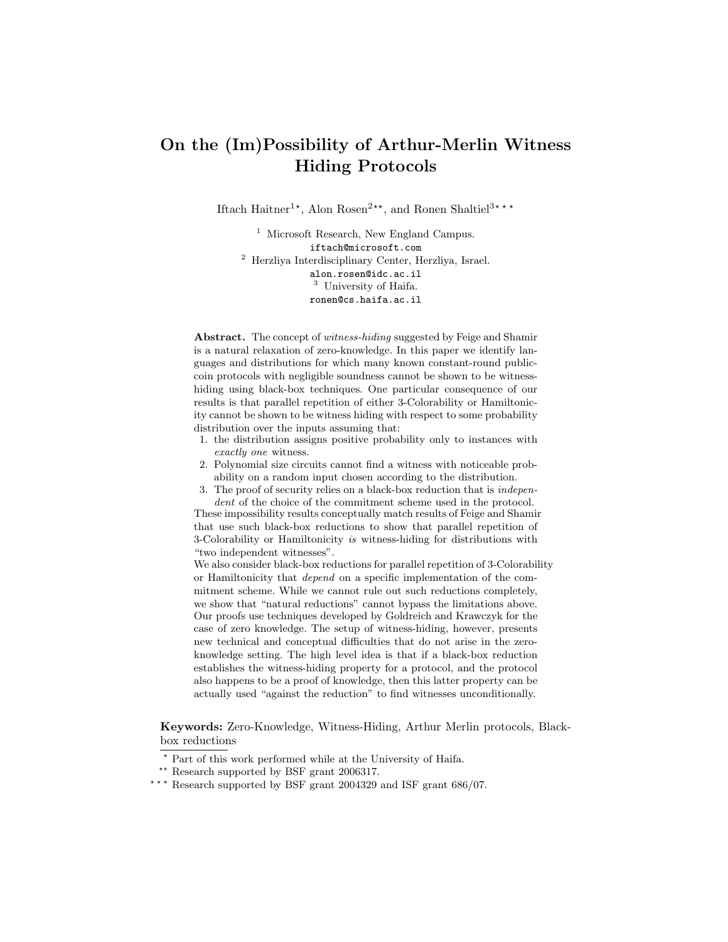# On the (Im)Possibility of Arthur-Merlin Witness Hiding Protocols

Iftach Haitner<sup>1\*</sup>, Alon Rosen<sup>2\*\*</sup>, and Ronen Shaltiel<sup>3\*\*\*</sup>

<sup>1</sup> Microsoft Research, New England Campus. iftach@microsoft.com <sup>2</sup> Herzliya Interdisciplinary Center, Herzliya, Israel. alon.rosen@idc.ac.il <sup>3</sup> University of Haifa. ronen@cs.haifa.ac.il

Abstract. The concept of witness-hiding suggested by Feige and Shamir is a natural relaxation of zero-knowledge. In this paper we identify languages and distributions for which many known constant-round publiccoin protocols with negligible soundness cannot be shown to be witnesshiding using black-box techniques. One particular consequence of our results is that parallel repetition of either 3-Colorability or Hamiltonicity cannot be shown to be witness hiding with respect to some probability distribution over the inputs assuming that:

- 1. the distribution assigns positive probability only to instances with exactly one witness.
- 2. Polynomial size circuits cannot find a witness with noticeable probability on a random input chosen according to the distribution.
- 3. The proof of security relies on a black-box reduction that is independent of the choice of the commitment scheme used in the protocol.

These impossibility results conceptually match results of Feige and Shamir that use such black-box reductions to show that parallel repetition of 3-Colorability or Hamiltonicity is witness-hiding for distributions with "two independent witnesses".

We also consider black-box reductions for parallel repetition of 3-Colorability or Hamiltonicity that depend on a specific implementation of the commitment scheme. While we cannot rule out such reductions completely, we show that "natural reductions" cannot bypass the limitations above. Our proofs use techniques developed by Goldreich and Krawczyk for the case of zero knowledge. The setup of witness-hiding, however, presents new technical and conceptual difficulties that do not arise in the zeroknowledge setting. The high level idea is that if a black-box reduction establishes the witness-hiding property for a protocol, and the protocol also happens to be a proof of knowledge, then this latter property can be actually used "against the reduction" to find witnesses unconditionally.

Keywords: Zero-Knowledge, Witness-Hiding, Arthur Merlin protocols, Blackbox reductions

<sup>?</sup> Part of this work performed while at the University of Haifa.

<sup>\*\*</sup> Research supported by BSF grant 2006317.

<sup>\*\*\*</sup> Research supported by BSF grant 2004329 and ISF grant  $686/07$ .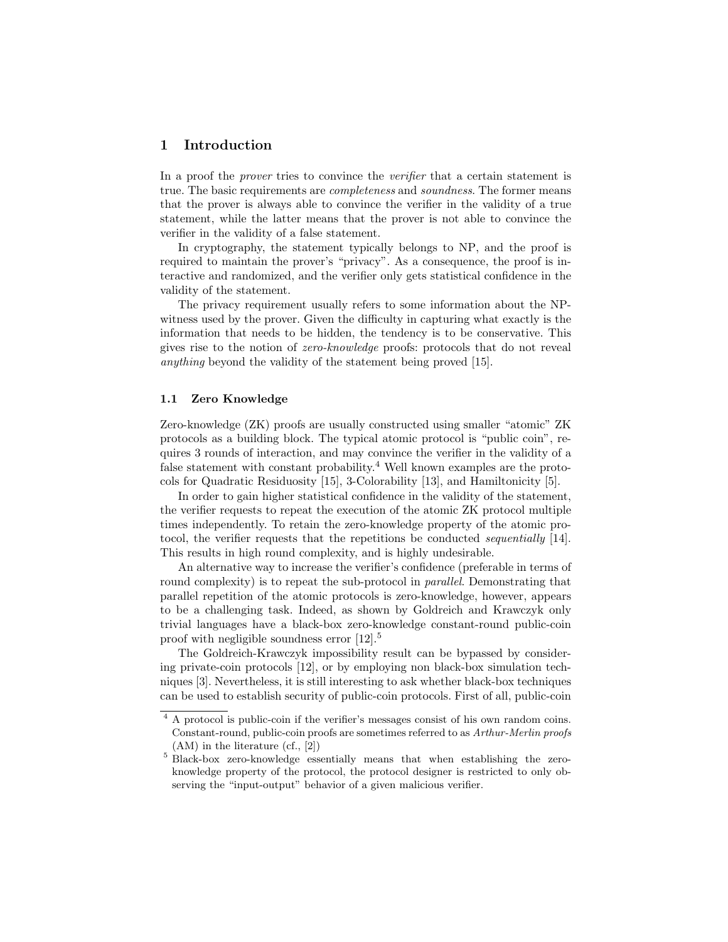# 1 Introduction

In a proof the *prover* tries to convince the *verifier* that a certain statement is true. The basic requirements are *completeness* and *soundness*. The former means that the prover is always able to convince the verifier in the validity of a true statement, while the latter means that the prover is not able to convince the verifier in the validity of a false statement.

In cryptography, the statement typically belongs to NP, and the proof is required to maintain the prover's "privacy". As a consequence, the proof is interactive and randomized, and the verifier only gets statistical confidence in the validity of the statement.

The privacy requirement usually refers to some information about the NPwitness used by the prover. Given the difficulty in capturing what exactly is the information that needs to be hidden, the tendency is to be conservative. This gives rise to the notion of zero-knowledge proofs: protocols that do not reveal anything beyond the validity of the statement being proved [15].

# 1.1 Zero Knowledge

Zero-knowledge (ZK) proofs are usually constructed using smaller "atomic" ZK protocols as a building block. The typical atomic protocol is "public coin", requires 3 rounds of interaction, and may convince the verifier in the validity of a false statement with constant probability.<sup>4</sup> Well known examples are the protocols for Quadratic Residuosity [15], 3-Colorability [13], and Hamiltonicity [5].

In order to gain higher statistical confidence in the validity of the statement, the verifier requests to repeat the execution of the atomic ZK protocol multiple times independently. To retain the zero-knowledge property of the atomic protocol, the verifier requests that the repetitions be conducted sequentially [14]. This results in high round complexity, and is highly undesirable.

An alternative way to increase the verifier's confidence (preferable in terms of round complexity) is to repeat the sub-protocol in *parallel*. Demonstrating that parallel repetition of the atomic protocols is zero-knowledge, however, appears to be a challenging task. Indeed, as shown by Goldreich and Krawczyk only trivial languages have a black-box zero-knowledge constant-round public-coin proof with negligible soundness error [12].<sup>5</sup>

The Goldreich-Krawczyk impossibility result can be bypassed by considering private-coin protocols [12], or by employing non black-box simulation techniques [3]. Nevertheless, it is still interesting to ask whether black-box techniques can be used to establish security of public-coin protocols. First of all, public-coin

<sup>&</sup>lt;sup>4</sup> A protocol is public-coin if the verifier's messages consist of his own random coins. Constant-round, public-coin proofs are sometimes referred to as Arthur-Merlin proofs (AM) in the literature (cf., [2])

<sup>5</sup> Black-box zero-knowledge essentially means that when establishing the zeroknowledge property of the protocol, the protocol designer is restricted to only observing the "input-output" behavior of a given malicious verifier.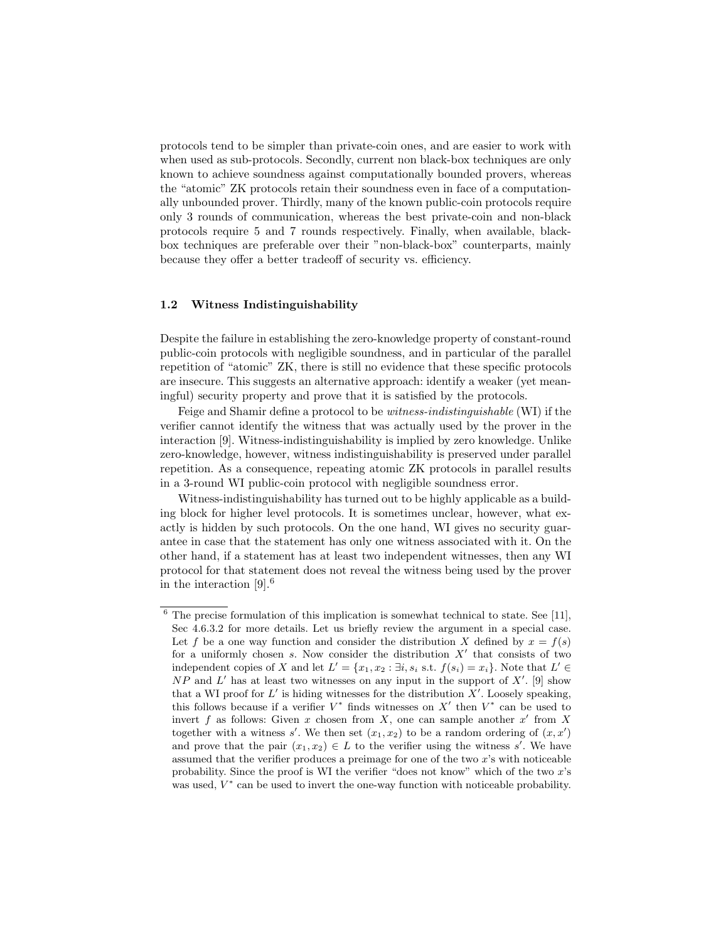protocols tend to be simpler than private-coin ones, and are easier to work with when used as sub-protocols. Secondly, current non black-box techniques are only known to achieve soundness against computationally bounded provers, whereas the "atomic" ZK protocols retain their soundness even in face of a computationally unbounded prover. Thirdly, many of the known public-coin protocols require only 3 rounds of communication, whereas the best private-coin and non-black protocols require 5 and 7 rounds respectively. Finally, when available, blackbox techniques are preferable over their "non-black-box" counterparts, mainly because they offer a better tradeoff of security vs. efficiency.

# 1.2 Witness Indistinguishability

Despite the failure in establishing the zero-knowledge property of constant-round public-coin protocols with negligible soundness, and in particular of the parallel repetition of "atomic" ZK, there is still no evidence that these specific protocols are insecure. This suggests an alternative approach: identify a weaker (yet meaningful) security property and prove that it is satisfied by the protocols.

Feige and Shamir define a protocol to be witness-indistinguishable (WI) if the verifier cannot identify the witness that was actually used by the prover in the interaction [9]. Witness-indistinguishability is implied by zero knowledge. Unlike zero-knowledge, however, witness indistinguishability is preserved under parallel repetition. As a consequence, repeating atomic ZK protocols in parallel results in a 3-round WI public-coin protocol with negligible soundness error.

Witness-indistinguishability has turned out to be highly applicable as a building block for higher level protocols. It is sometimes unclear, however, what exactly is hidden by such protocols. On the one hand, WI gives no security guarantee in case that the statement has only one witness associated with it. On the other hand, if a statement has at least two independent witnesses, then any WI protocol for that statement does not reveal the witness being used by the prover in the interaction [9].<sup>6</sup>

 $\overline{6}$  The precise formulation of this implication is somewhat technical to state. See [11], Sec 4.6.3.2 for more details. Let us briefly review the argument in a special case. Let f be a one way function and consider the distribution X defined by  $x = f(s)$ for a uniformly chosen s. Now consider the distribution  $X'$  that consists of two independent copies of X and let  $L' = \{x_1, x_2 : \exists i, s_i \text{ s.t. } f(s_i) = x_i\}$ . Note that  $L' \in$  $NP$  and  $L'$  has at least two witnesses on any input in the support of  $X'$ . [9] show that a WI proof for  $L'$  is hiding witnesses for the distribution  $X'$ . Loosely speaking, this follows because if a verifier  $V^*$  finds witnesses on  $X'$  then  $V^*$  can be used to invert f as follows: Given x chosen from X, one can sample another  $x'$  from X together with a witness s'. We then set  $(x_1, x_2)$  to be a random ordering of  $(x, x')$ and prove that the pair  $(x_1, x_2) \in L$  to the verifier using the witness s'. We have assumed that the verifier produces a preimage for one of the two x's with noticeable probability. Since the proof is WI the verifier "does not know" which of the two x's was used,  $V^*$  can be used to invert the one-way function with noticeable probability.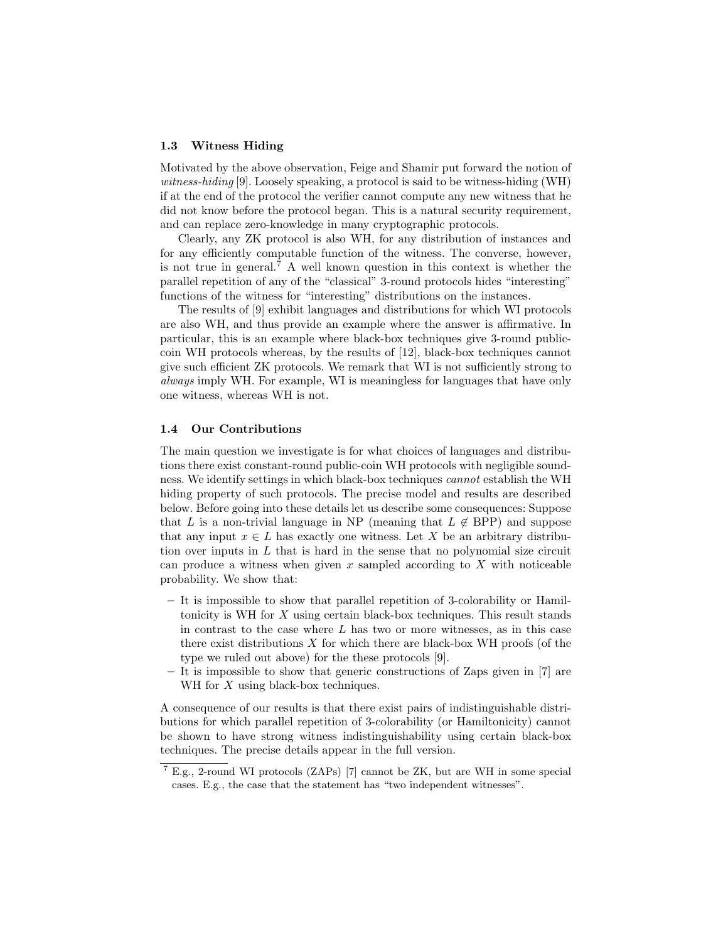# 1.3 Witness Hiding

Motivated by the above observation, Feige and Shamir put forward the notion of witness-hiding [9]. Loosely speaking, a protocol is said to be witness-hiding (WH) if at the end of the protocol the verifier cannot compute any new witness that he did not know before the protocol began. This is a natural security requirement, and can replace zero-knowledge in many cryptographic protocols.

Clearly, any ZK protocol is also WH, for any distribution of instances and for any efficiently computable function of the witness. The converse, however, is not true in general.<sup>7</sup> A well known question in this context is whether the parallel repetition of any of the "classical" 3-round protocols hides "interesting" functions of the witness for "interesting" distributions on the instances.

The results of [9] exhibit languages and distributions for which WI protocols are also WH, and thus provide an example where the answer is affirmative. In particular, this is an example where black-box techniques give 3-round publiccoin WH protocols whereas, by the results of [12], black-box techniques cannot give such efficient ZK protocols. We remark that WI is not sufficiently strong to always imply WH. For example, WI is meaningless for languages that have only one witness, whereas WH is not.

#### 1.4 Our Contributions

The main question we investigate is for what choices of languages and distributions there exist constant-round public-coin WH protocols with negligible soundness. We identify settings in which black-box techniques cannot establish the WH hiding property of such protocols. The precise model and results are described below. Before going into these details let us describe some consequences: Suppose that L is a non-trivial language in NP (meaning that  $L \notin BPP$ ) and suppose that any input  $x \in L$  has exactly one witness. Let X be an arbitrary distribution over inputs in  $L$  that is hard in the sense that no polynomial size circuit can produce a witness when given x sampled according to  $X$  with noticeable probability. We show that:

- It is impossible to show that parallel repetition of 3-colorability or Hamiltonicity is WH for X using certain black-box techniques. This result stands in contrast to the case where  $L$  has two or more witnesses, as in this case there exist distributions  $X$  for which there are black-box WH proofs (of the type we ruled out above) for the these protocols [9].
- It is impossible to show that generic constructions of Zaps given in [7] are WH for  $X$  using black-box techniques.

A consequence of our results is that there exist pairs of indistinguishable distributions for which parallel repetition of 3-colorability (or Hamiltonicity) cannot be shown to have strong witness indistinguishability using certain black-box techniques. The precise details appear in the full version.

<sup>7</sup> E.g., 2-round WI protocols (ZAPs) [7] cannot be ZK, but are WH in some special cases. E.g., the case that the statement has "two independent witnesses".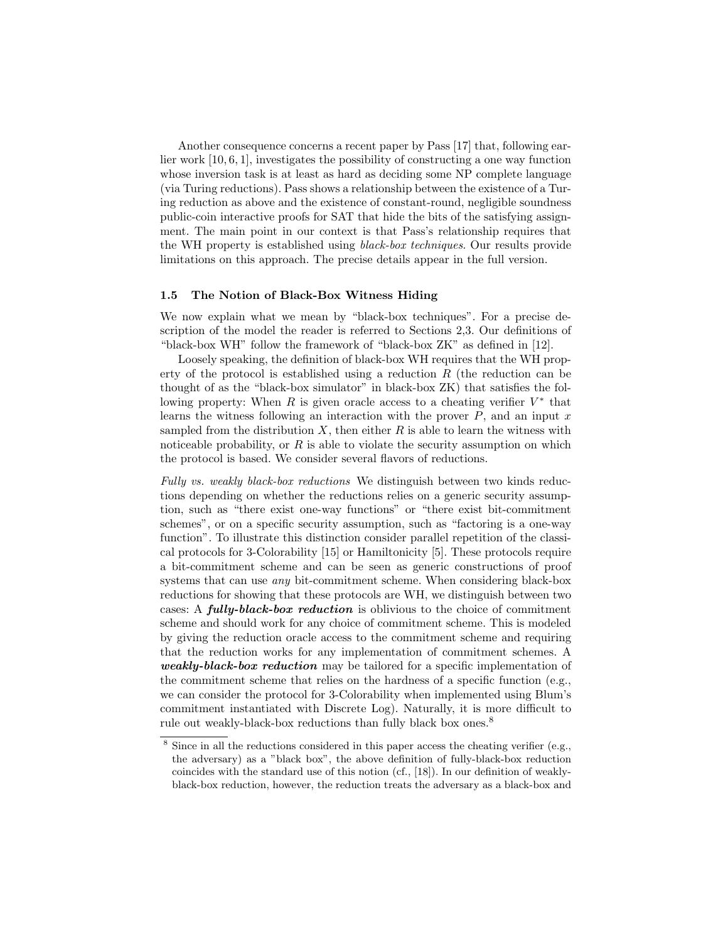Another consequence concerns a recent paper by Pass [17] that, following earlier work [10, 6, 1], investigates the possibility of constructing a one way function whose inversion task is at least as hard as deciding some NP complete language (via Turing reductions). Pass shows a relationship between the existence of a Turing reduction as above and the existence of constant-round, negligible soundness public-coin interactive proofs for SAT that hide the bits of the satisfying assignment. The main point in our context is that Pass's relationship requires that the WH property is established using black-box techniques. Our results provide limitations on this approach. The precise details appear in the full version.

## 1.5 The Notion of Black-Box Witness Hiding

We now explain what we mean by "black-box techniques". For a precise description of the model the reader is referred to Sections 2,3. Our definitions of "black-box WH" follow the framework of "black-box ZK" as defined in [12].

Loosely speaking, the definition of black-box WH requires that the WH property of the protocol is established using a reduction  $R$  (the reduction can be thought of as the "black-box simulator" in black-box ZK) that satisfies the following property: When  $R$  is given oracle access to a cheating verifier  $V^*$  that learns the witness following an interaction with the prover  $P$ , and an input  $x$ sampled from the distribution  $X$ , then either  $R$  is able to learn the witness with noticeable probability, or  $R$  is able to violate the security assumption on which the protocol is based. We consider several flavors of reductions.

Fully vs. weakly black-box reductions We distinguish between two kinds reductions depending on whether the reductions relies on a generic security assumption, such as "there exist one-way functions" or "there exist bit-commitment schemes", or on a specific security assumption, such as "factoring is a one-way function". To illustrate this distinction consider parallel repetition of the classical protocols for 3-Colorability [15] or Hamiltonicity [5]. These protocols require a bit-commitment scheme and can be seen as generic constructions of proof systems that can use *any* bit-commitment scheme. When considering black-box reductions for showing that these protocols are WH, we distinguish between two cases: A *fully-black-box reduction* is oblivious to the choice of commitment scheme and should work for any choice of commitment scheme. This is modeled by giving the reduction oracle access to the commitment scheme and requiring that the reduction works for any implementation of commitment schemes. A weakly-black-box reduction may be tailored for a specific implementation of the commitment scheme that relies on the hardness of a specific function (e.g., we can consider the protocol for 3-Colorability when implemented using Blum's commitment instantiated with Discrete Log). Naturally, it is more difficult to rule out weakly-black-box reductions than fully black box ones.<sup>8</sup>

<sup>&</sup>lt;sup>8</sup> Since in all the reductions considered in this paper access the cheating verifier (e.g., the adversary) as a "black box", the above definition of fully-black-box reduction coincides with the standard use of this notion (cf., [18]). In our definition of weaklyblack-box reduction, however, the reduction treats the adversary as a black-box and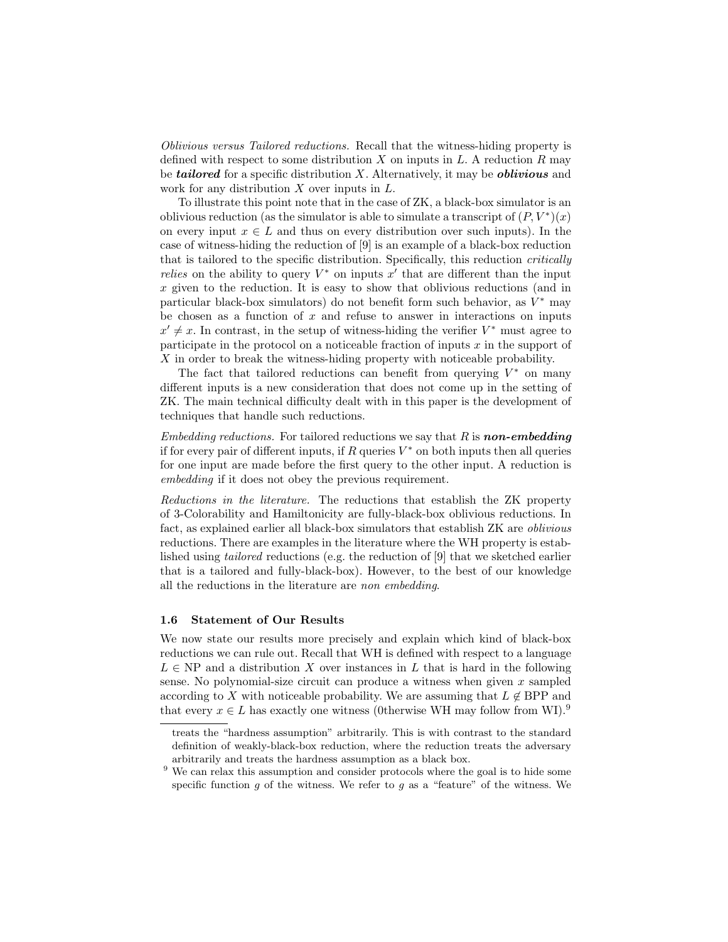Oblivious versus Tailored reductions. Recall that the witness-hiding property is defined with respect to some distribution  $X$  on inputs in  $L$ . A reduction  $R$  may be **tailored** for a specific distribution  $X$ . Alternatively, it may be **oblivious** and work for any distribution  $X$  over inputs in  $L$ .

To illustrate this point note that in the case of ZK, a black-box simulator is an oblivious reduction (as the simulator is able to simulate a transcript of  $(P, V^*)(x)$ on every input  $x \in L$  and thus on every distribution over such inputs). In the case of witness-hiding the reduction of [9] is an example of a black-box reduction that is tailored to the specific distribution. Specifically, this reduction critically *relies* on the ability to query  $V^*$  on inputs  $x'$  that are different than the input x given to the reduction. It is easy to show that oblivious reductions (and in particular black-box simulators) do not benefit form such behavior, as  $V^*$  may be chosen as a function of  $x$  and refuse to answer in interactions on inputs  $x' \neq x$ . In contrast, in the setup of witness-hiding the verifier  $V^*$  must agree to participate in the protocol on a noticeable fraction of inputs  $x$  in the support of X in order to break the witness-hiding property with noticeable probability.

The fact that tailored reductions can benefit from querying  $V^*$  on many different inputs is a new consideration that does not come up in the setting of ZK. The main technical difficulty dealt with in this paper is the development of techniques that handle such reductions.

*Embedding reductions.* For tailored reductions we say that  $R$  is **non-embedding** if for every pair of different inputs, if  $R$  queries  $V^*$  on both inputs then all queries for one input are made before the first query to the other input. A reduction is embedding if it does not obey the previous requirement.

Reductions in the literature. The reductions that establish the ZK property of 3-Colorability and Hamiltonicity are fully-black-box oblivious reductions. In fact, as explained earlier all black-box simulators that establish ZK are oblivious reductions. There are examples in the literature where the WH property is established using tailored reductions (e.g. the reduction of [9] that we sketched earlier that is a tailored and fully-black-box). However, to the best of our knowledge all the reductions in the literature are non embedding.

## 1.6 Statement of Our Results

We now state our results more precisely and explain which kind of black-box reductions we can rule out. Recall that WH is defined with respect to a language  $L \in \text{NP}$  and a distribution X over instances in L that is hard in the following sense. No polynomial-size circuit can produce a witness when given  $x$  sampled according to X with noticeable probability. We are assuming that  $L \notin BPP$  and that every  $x \in L$  has exactly one witness (0therwise WH may follow from WI).<sup>9</sup>

treats the "hardness assumption" arbitrarily. This is with contrast to the standard definition of weakly-black-box reduction, where the reduction treats the adversary arbitrarily and treats the hardness assumption as a black box.

 $9$  We can relax this assumption and consider protocols where the goal is to hide some specific function  $g$  of the witness. We refer to  $g$  as a "feature" of the witness. We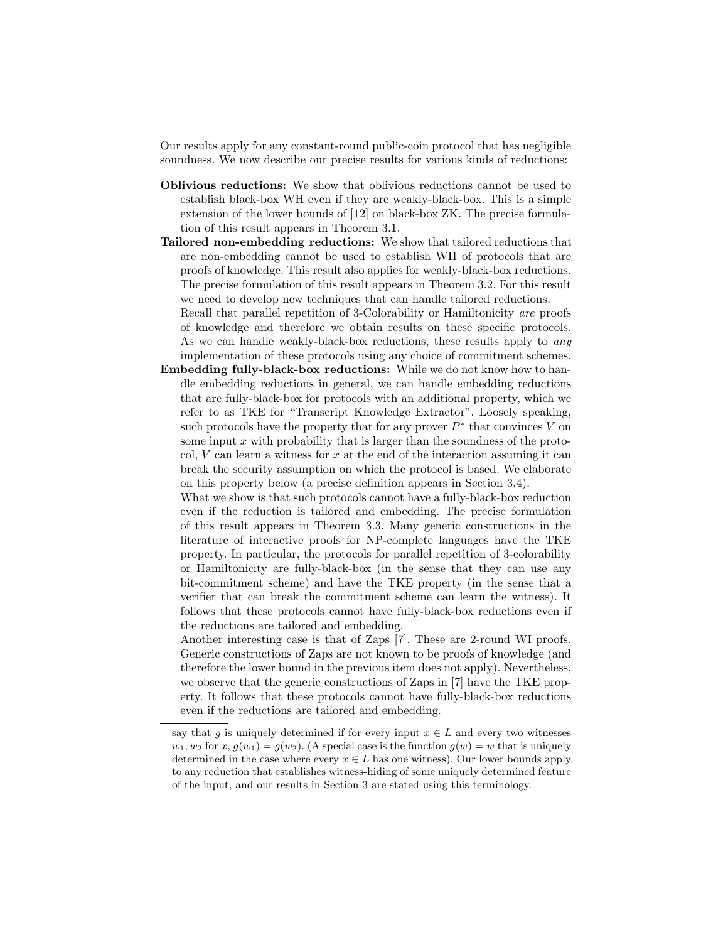Our results apply for any constant-round public-coin protocol that has negligible soundness. We now describe our precise results for various kinds of reductions:

- Oblivious reductions: We show that oblivious reductions cannot be used to establish black-box WH even if they are weakly-black-box. This is a simple extension of the lower bounds of [12] on black-box ZK. The precise formulation of this result appears in Theorem 3.1.
- Tailored non-embedding reductions: We show that tailored reductions that are non-embedding cannot be used to establish WH of protocols that are proofs of knowledge. This result also applies for weakly-black-box reductions. The precise formulation of this result appears in Theorem 3.2. For this result we need to develop new techniques that can handle tailored reductions. Recall that parallel repetition of 3-Colorability or Hamiltonicity are proofs of knowledge and therefore we obtain results on these specific protocols.

As we can handle weakly-black-box reductions, these results apply to *any* implementation of these protocols using any choice of commitment schemes.

Embedding fully-black-box reductions: While we do not know how to handle embedding reductions in general, we can handle embedding reductions that are fully-black-box for protocols with an additional property, which we refer to as TKE for "Transcript Knowledge Extractor". Loosely speaking, such protocols have the property that for any prover  $P^*$  that convinces V on some input  $x$  with probability that is larger than the soundness of the protocol,  $V$  can learn a witness for  $x$  at the end of the interaction assuming it can break the security assumption on which the protocol is based. We elaborate on this property below (a precise definition appears in Section 3.4).

What we show is that such protocols cannot have a fully-black-box reduction even if the reduction is tailored and embedding. The precise formulation of this result appears in Theorem 3.3. Many generic constructions in the literature of interactive proofs for NP-complete languages have the TKE property. In particular, the protocols for parallel repetition of 3-colorability or Hamiltonicity are fully-black-box (in the sense that they can use any bit-commitment scheme) and have the TKE property (in the sense that a verifier that can break the commitment scheme can learn the witness). It follows that these protocols cannot have fully-black-box reductions even if the reductions are tailored and embedding.

Another interesting case is that of Zaps [7]. These are 2-round WI proofs. Generic constructions of Zaps are not known to be proofs of knowledge (and therefore the lower bound in the previous item does not apply). Nevertheless, we observe that the generic constructions of Zaps in [7] have the TKE property. It follows that these protocols cannot have fully-black-box reductions even if the reductions are tailored and embedding.

say that g is uniquely determined if for every input  $x \in L$  and every two witnesses  $w_1, w_2$  for  $x, g(w_1) = g(w_2)$ . (A special case is the function  $g(w) = w$  that is uniquely determined in the case where every  $x \in L$  has one witness). Our lower bounds apply to any reduction that establishes witness-hiding of some uniquely determined feature of the input, and our results in Section 3 are stated using this terminology.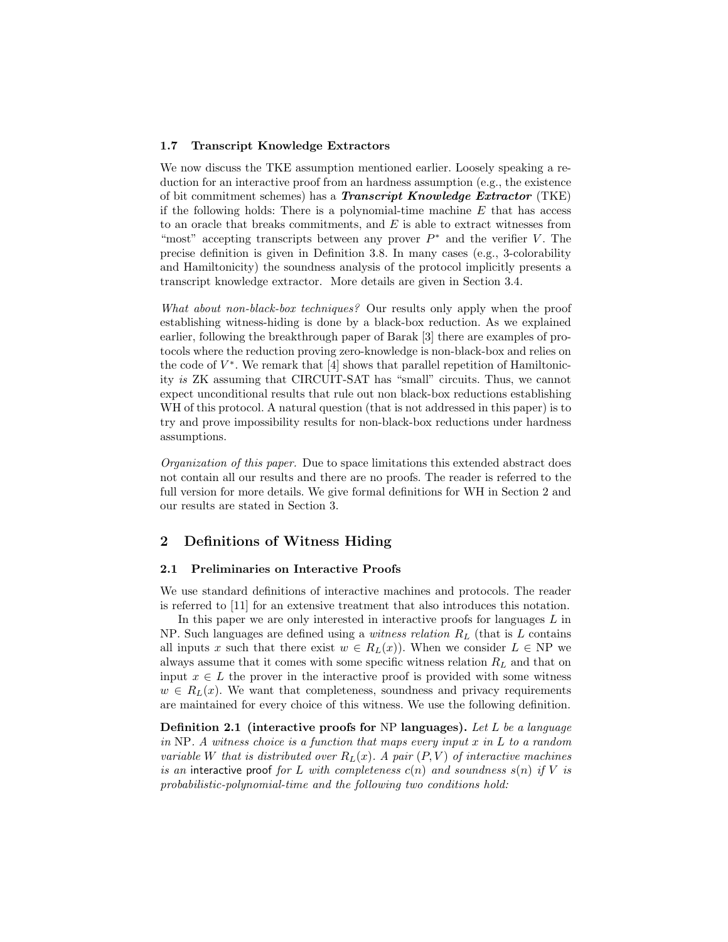## 1.7 Transcript Knowledge Extractors

We now discuss the TKE assumption mentioned earlier. Loosely speaking a reduction for an interactive proof from an hardness assumption (e.g., the existence of bit commitment schemes) has a *Transcript Knowledge Extractor*  $(TKE)$ if the following holds: There is a polynomial-time machine  $E$  that has access to an oracle that breaks commitments, and  $E$  is able to extract witnesses from "most" accepting transcripts between any prover  $P^*$  and the verifier V. The precise definition is given in Definition 3.8. In many cases (e.g., 3-colorability and Hamiltonicity) the soundness analysis of the protocol implicitly presents a transcript knowledge extractor. More details are given in Section 3.4.

What about non-black-box techniques? Our results only apply when the proof establishing witness-hiding is done by a black-box reduction. As we explained earlier, following the breakthrough paper of Barak [3] there are examples of protocols where the reduction proving zero-knowledge is non-black-box and relies on the code of  $V^*$ . We remark that  $[4]$  shows that parallel repetition of Hamiltonicity is ZK assuming that CIRCUIT-SAT has "small" circuits. Thus, we cannot expect unconditional results that rule out non black-box reductions establishing WH of this protocol. A natural question (that is not addressed in this paper) is to try and prove impossibility results for non-black-box reductions under hardness assumptions.

Organization of this paper. Due to space limitations this extended abstract does not contain all our results and there are no proofs. The reader is referred to the full version for more details. We give formal definitions for WH in Section 2 and our results are stated in Section 3.

# 2 Definitions of Witness Hiding

## 2.1 Preliminaries on Interactive Proofs

We use standard definitions of interactive machines and protocols. The reader is referred to [11] for an extensive treatment that also introduces this notation.

In this paper we are only interested in interactive proofs for languages  $L$  in NP. Such languages are defined using a *witness relation*  $R_L$  (that is L contains all inputs x such that there exist  $w \in R_L(x)$ . When we consider  $L \in NP$  we always assume that it comes with some specific witness relation  $R<sub>L</sub>$  and that on input  $x \in L$  the prover in the interactive proof is provided with some witness  $w \in R_L(x)$ . We want that completeness, soundness and privacy requirements are maintained for every choice of this witness. We use the following definition.

**Definition 2.1** (interactive proofs for NP languages). Let L be a language in NP. A witness choice is a function that maps every input  $x$  in  $L$  to a random variable W that is distributed over  $R_L(x)$ . A pair  $(P, V)$  of interactive machines is an interactive proof for L with completeness  $c(n)$  and soundness  $s(n)$  if V is probabilistic-polynomial-time and the following two conditions hold: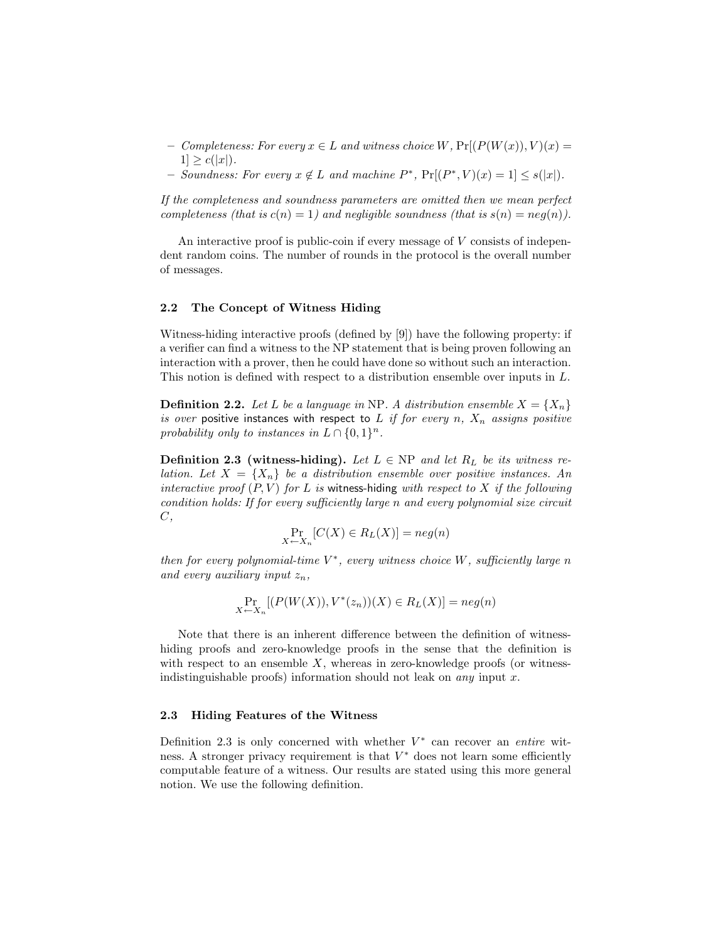- Completeness: For every  $x \in L$  and witness choice W,  $Pr[(P(W(x)), V)(x) =$  $1] \geq c(|x|)$ .
- − Soundness: For every  $x \notin L$  and machine  $P^*$ ,  $Pr[(P^*, V)(x) = 1] \leq s(|x|)$ .

If the completeness and soundness parameters are omitted then we mean perfect completeness (that is  $c(n) = 1$ ) and negligible soundness (that is  $s(n) = neg(n)$ ).

An interactive proof is public-coin if every message of V consists of independent random coins. The number of rounds in the protocol is the overall number of messages.

# 2.2 The Concept of Witness Hiding

Witness-hiding interactive proofs (defined by [9]) have the following property: if a verifier can find a witness to the NP statement that is being proven following an interaction with a prover, then he could have done so without such an interaction. This notion is defined with respect to a distribution ensemble over inputs in L.

**Definition 2.2.** Let L be a language in NP. A distribution ensemble  $X = \{X_n\}$ is over positive instances with respect to L if for every n,  $X_n$  assigns positive probability only to instances in  $L \cap \{0,1\}^n$ .

**Definition 2.3 (witness-hiding).** Let  $L \in NP$  and let  $R_L$  be its witness relation. Let  $X = \{X_n\}$  be a distribution ensemble over positive instances. An interactive proof  $(P, V)$  for L is witness-hiding with respect to X if the following condition holds: If for every sufficiently large n and every polynomial size circuit C,

$$
\Pr_{X \leftarrow X_n} [C(X) \in R_L(X)] = neg(n)
$$

then for every polynomial-time  $V^*$ , every witness choice W, sufficiently large n and every auxiliary input  $z_n$ ,

$$
\Pr_{X \leftarrow X_n} [ (P(W(X)), V^*(z_n)) (X) \in R_L(X) ] = neg(n)
$$

Note that there is an inherent difference between the definition of witnesshiding proofs and zero-knowledge proofs in the sense that the definition is with respect to an ensemble  $X$ , whereas in zero-knowledge proofs (or witnessindistinguishable proofs) information should not leak on *any* input x.

## 2.3 Hiding Features of the Witness

Definition 2.3 is only concerned with whether  $V^*$  can recover an entire witness. A stronger privacy requirement is that  $V^*$  does not learn some efficiently computable feature of a witness. Our results are stated using this more general notion. We use the following definition.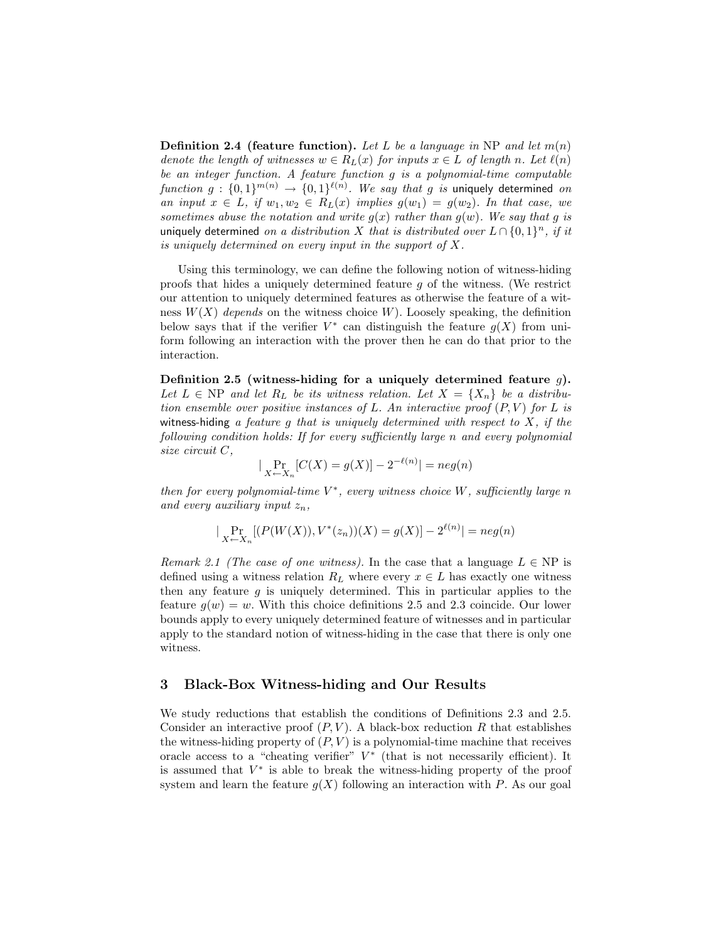**Definition 2.4 (feature function).** Let L be a language in NP and let  $m(n)$ denote the length of witnesses  $w \in R_L(x)$  for inputs  $x \in L$  of length n. Let  $\ell(n)$ be an integer function. A feature function g is a polynomial-time computable function  $g: \{0,1\}^{m(n)} \rightarrow \{0,1\}^{\ell(n)}$ . We say that g is uniquely determined on an input  $x \in L$ , if  $w_1, w_2 \in R_L(x)$  implies  $g(w_1) = g(w_2)$ . In that case, we sometimes abuse the notation and write  $g(x)$  rather than  $g(w)$ . We say that g is uniquely determined on a distribution X that is distributed over  $L \cap \{0,1\}^n$ , if it is uniquely determined on every input in the support of X.

Using this terminology, we can define the following notion of witness-hiding proofs that hides a uniquely determined feature g of the witness. (We restrict our attention to uniquely determined features as otherwise the feature of a witness  $W(X)$  depends on the witness choice W). Loosely speaking, the definition below says that if the verifier  $V^*$  can distinguish the feature  $g(X)$  from uniform following an interaction with the prover then he can do that prior to the interaction.

Definition 2.5 (witness-hiding for a uniquely determined feature  $g$ ). Let  $L \in NP$  and let  $R_L$  be its witness relation. Let  $X = \{X_n\}$  be a distribution ensemble over positive instances of L. An interactive proof  $(P, V)$  for L is witness-hiding a feature g that is uniquely determined with respect to  $X$ , if the following condition holds: If for every sufficiently large n and every polynomial size circuit C,

$$
|\Pr_{X \leftarrow X_n}[C(X) = g(X)] - 2^{-\ell(n)}| = neg(n)
$$

then for every polynomial-time  $V^*$ , every witness choice W, sufficiently large n and every auxiliary input  $z_n$ ,

$$
|\Pr_{X \leftarrow X_n}[(P(W(X)), V^*(z_n))(X) = g(X)] - 2^{\ell(n)}| = neg(n)
$$

Remark 2.1 (The case of one witness). In the case that a language  $L \in NP$  is defined using a witness relation  $R_L$  where every  $x \in L$  has exactly one witness then any feature  $g$  is uniquely determined. This in particular applies to the feature  $g(w) = w$ . With this choice definitions 2.5 and 2.3 coincide. Our lower bounds apply to every uniquely determined feature of witnesses and in particular apply to the standard notion of witness-hiding in the case that there is only one witness.

# 3 Black-Box Witness-hiding and Our Results

We study reductions that establish the conditions of Definitions 2.3 and 2.5. Consider an interactive proof  $(P, V)$ . A black-box reduction R that establishes the witness-hiding property of  $(P, V)$  is a polynomial-time machine that receives oracle access to a "cheating verifier"  $V^*$  (that is not necessarily efficient). It is assumed that  $V^*$  is able to break the witness-hiding property of the proof system and learn the feature  $g(X)$  following an interaction with P. As our goal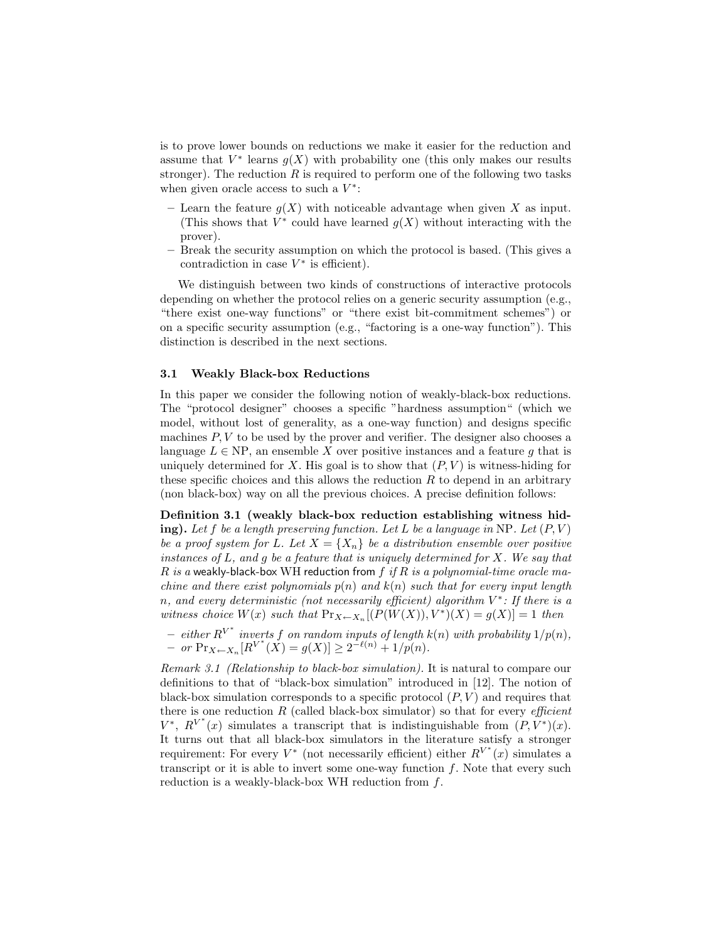is to prove lower bounds on reductions we make it easier for the reduction and assume that  $V^*$  learns  $g(X)$  with probability one (this only makes our results stronger). The reduction  $R$  is required to perform one of the following two tasks when given oracle access to such a  $V^*$ :

- Learn the feature  $g(X)$  with noticeable advantage when given X as input. (This shows that  $V^*$  could have learned  $g(X)$  without interacting with the prover).
- Break the security assumption on which the protocol is based. (This gives a contradiction in case  $V^*$  is efficient).

We distinguish between two kinds of constructions of interactive protocols depending on whether the protocol relies on a generic security assumption (e.g., "there exist one-way functions" or "there exist bit-commitment schemes") or on a specific security assumption (e.g., "factoring is a one-way function"). This distinction is described in the next sections.

# 3.1 Weakly Black-box Reductions

In this paper we consider the following notion of weakly-black-box reductions. The "protocol designer" chooses a specific "hardness assumption" (which we model, without lost of generality, as a one-way function) and designs specific machines  $P, V$  to be used by the prover and verifier. The designer also chooses a language  $L \in NP$ , an ensemble X over positive instances and a feature g that is uniquely determined for X. His goal is to show that  $(P, V)$  is witness-hiding for these specific choices and this allows the reduction  $R$  to depend in an arbitrary (non black-box) way on all the previous choices. A precise definition follows:

Definition 3.1 (weakly black-box reduction establishing witness hiding). Let f be a length preserving function. Let L be a language in NP. Let  $(P, V)$ be a proof system for L. Let  $X = \{X_n\}$  be a distribution ensemble over positive instances of  $L$ , and  $g$  be a feature that is uniquely determined for  $X$ . We say that R is a weakly-black-box WH reduction from f if R is a polynomial-time oracle machine and there exist polynomials  $p(n)$  and  $k(n)$  such that for every input length n, and every deterministic (not necessarily efficient) algorithm  $V^*$ : If there is a witness choice  $W(x)$  such that  $Pr_{X \leftarrow X_n}[(P(W(X)), V^*)(X) = g(X)] = 1$  then

 $-$  either  $R^{V^*}$  inverts f on random inputs of length  $k(n)$  with probability  $1/p(n)$ ,  $-$  or  $\Pr_{X \leftarrow X_n}[R^{V^*}(\check{X}) = g(X)] \geq 2^{-\ell(n)} + 1/p(n).$ 

Remark 3.1 (Relationship to black-box simulation). It is natural to compare our definitions to that of "black-box simulation" introduced in [12]. The notion of black-box simulation corresponds to a specific protocol  $(P, V)$  and requires that there is one reduction  $R$  (called black-box simulator) so that for every *efficient*  $V^*$ ,  $R^{V^*}(x)$  simulates a transcript that is indistinguishable from  $(P, \tilde{V}^*)(x)$ . It turns out that all black-box simulators in the literature satisfy a stronger requirement: For every  $V^*$  (not necessarily efficient) either  $R^{V^*}(x)$  simulates a transcript or it is able to invert some one-way function  $f$ . Note that every such reduction is a weakly-black-box WH reduction from f.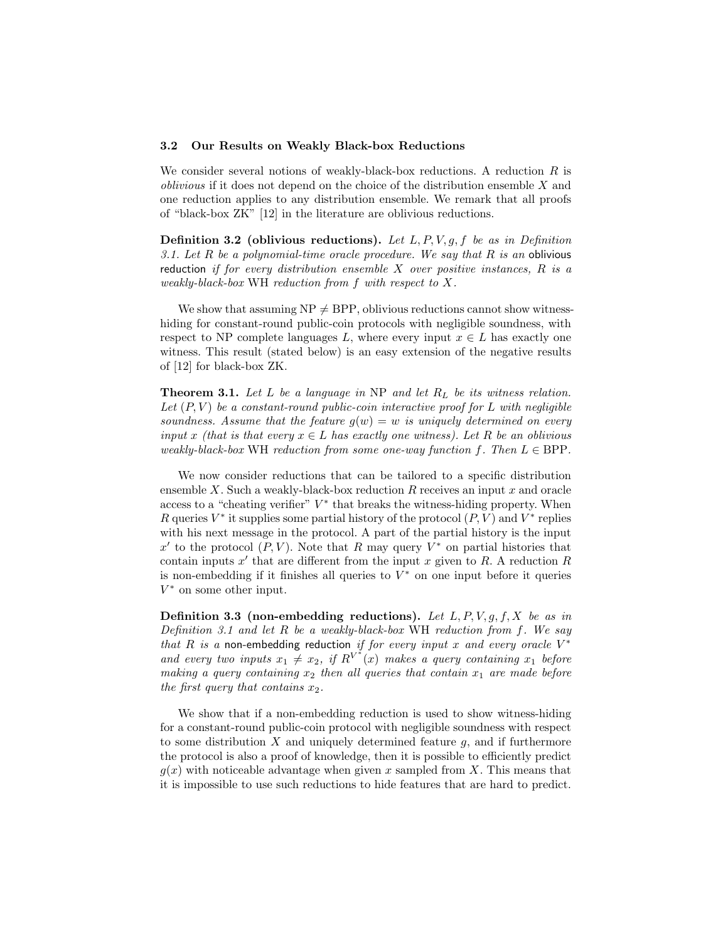#### 3.2 Our Results on Weakly Black-box Reductions

We consider several notions of weakly-black-box reductions. A reduction  $R$  is oblivious if it does not depend on the choice of the distribution ensemble X and one reduction applies to any distribution ensemble. We remark that all proofs of "black-box ZK" [12] in the literature are oblivious reductions.

**Definition 3.2** (oblivious reductions). Let  $L, P, V, g, f$  be as in Definition 3.1. Let  $R$  be a polynomial-time oracle procedure. We say that  $R$  is an oblivious reduction if for every distribution ensemble  $X$  over positive instances,  $R$  is a weakly-black-box WH reduction from f with respect to X.

We show that assuming  $NP \neq BPP$ , oblivious reductions cannot show witnesshiding for constant-round public-coin protocols with negligible soundness, with respect to NP complete languages L, where every input  $x \in L$  has exactly one witness. This result (stated below) is an easy extension of the negative results of [12] for black-box ZK.

**Theorem 3.1.** Let L be a language in NP and let  $R_L$  be its witness relation. Let  $(P, V)$  be a constant-round public-coin interactive proof for L with negligible soundness. Assume that the feature  $g(w) = w$  is uniquely determined on every input x (that is that every  $x \in L$  has exactly one witness). Let R be an oblivious weakly-black-box WH reduction from some one-way function f. Then  $L \in BPP$ .

We now consider reductions that can be tailored to a specific distribution ensemble  $X$ . Such a weakly-black-box reduction  $R$  receives an input  $x$  and oracle access to a "cheating verifier"  $V^*$  that breaks the witness-hiding property. When R queries  $V^*$  it supplies some partial history of the protocol  $(P, V)$  and  $V^*$  replies with his next message in the protocol. A part of the partial history is the input x' to the protocol  $(P, V)$ . Note that R may query  $V^*$  on partial histories that contain inputs  $x'$  that are different from the input x given to R. A reduction R is non-embedding if it finishes all queries to  $V^*$  on one input before it queries  $V^*$  on some other input.

**Definition 3.3** (non-embedding reductions). Let  $L, P, V, g, f, X$  be as in Definition 3.1 and let R be a weakly-black-box WH reduction from f. We say that R is a non-embedding reduction if for every input x and every oracle  $V^*$ and every two inputs  $x_1 \neq x_2$ , if  $R^{V^*}(x)$  makes a query containing  $x_1$  before making a query containing  $x_2$  then all queries that contain  $x_1$  are made before the first query that contains  $x_2$ .

We show that if a non-embedding reduction is used to show witness-hiding for a constant-round public-coin protocol with negligible soundness with respect to some distribution  $X$  and uniquely determined feature  $g$ , and if furthermore the protocol is also a proof of knowledge, then it is possible to efficiently predict  $g(x)$  with noticeable advantage when given x sampled from X. This means that it is impossible to use such reductions to hide features that are hard to predict.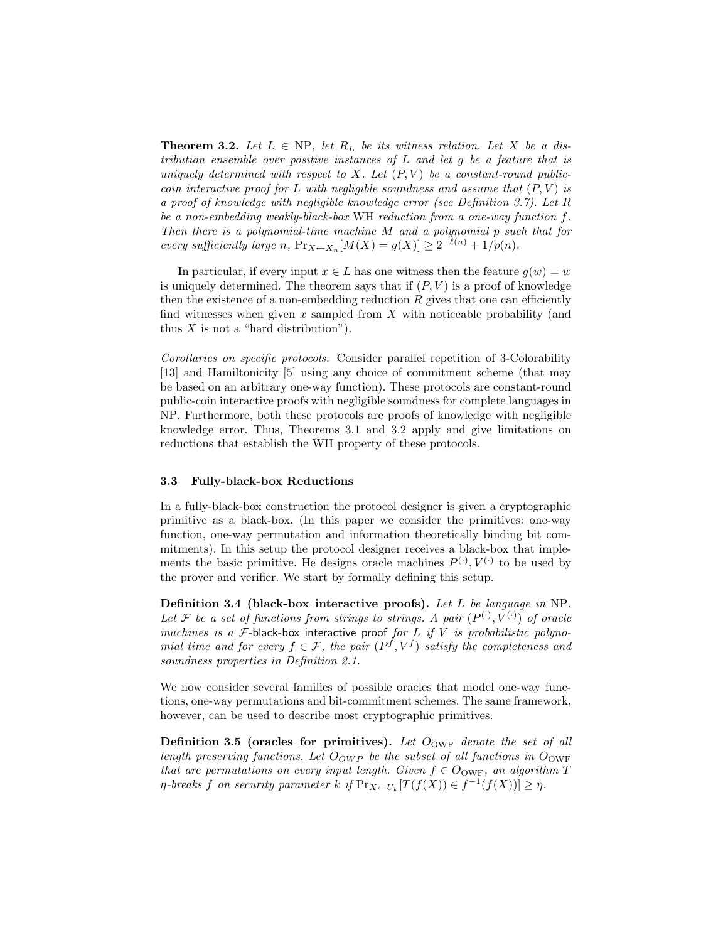**Theorem 3.2.** Let  $L \in NP$ , let  $R_L$  be its witness relation. Let X be a distribution ensemble over positive instances of L and let g be a feature that is uniquely determined with respect to X. Let  $(P, V)$  be a constant-round publiccoin interactive proof for L with negligible soundness and assume that  $(P, V)$  is a proof of knowledge with negligible knowledge error (see Definition 3.7). Let R be a non-embedding weakly-black-box WH reduction from a one-way function f. Then there is a polynomial-time machine M and a polynomial p such that for every sufficiently large n,  $Pr_{X \leftarrow X_n}[M(X) = g(X)] \geq 2^{-\ell(n)} + 1/p(n)$ .

In particular, if every input  $x \in L$  has one witness then the feature  $g(w) = w$ is uniquely determined. The theorem says that if  $(P, V)$  is a proof of knowledge then the existence of a non-embedding reduction  $R$  gives that one can efficiently find witnesses when given  $x$  sampled from  $X$  with noticeable probability (and thus  $X$  is not a "hard distribution").

Corollaries on specific protocols. Consider parallel repetition of 3-Colorability [13] and Hamiltonicity [5] using any choice of commitment scheme (that may be based on an arbitrary one-way function). These protocols are constant-round public-coin interactive proofs with negligible soundness for complete languages in NP. Furthermore, both these protocols are proofs of knowledge with negligible knowledge error. Thus, Theorems 3.1 and 3.2 apply and give limitations on reductions that establish the WH property of these protocols.

## 3.3 Fully-black-box Reductions

In a fully-black-box construction the protocol designer is given a cryptographic primitive as a black-box. (In this paper we consider the primitives: one-way function, one-way permutation and information theoretically binding bit commitments). In this setup the protocol designer receives a black-box that implements the basic primitive. He designs oracle machines  $P^{(\cdot)}, V^{(\cdot)}$  to be used by the prover and verifier. We start by formally defining this setup.

Definition 3.4 (black-box interactive proofs). Let L be language in NP. Let F be a set of functions from strings to strings. A pair  $(P^{(\cdot)}, V^{(\cdot)})$  of oracle machines is a  $F$ -black-box interactive proof for  $L$  if  $V$  is probabilistic polynomial time and for every  $f \in \mathcal{F}$ , the pair  $(P^f, V^f)$  satisfy the completeness and soundness properties in Definition 2.1.

We now consider several families of possible oracles that model one-way functions, one-way permutations and bit-commitment schemes. The same framework, however, can be used to describe most cryptographic primitives.

Definition 3.5 (oracles for primitives). Let  $O_{\text{OWF}}$  denote the set of all length preserving functions. Let  $O_{OWP}$  be the subset of all functions in  $O_{OWF}$ that are permutations on every input length. Given  $f \in O_{\text{OWF}}$ , an algorithm T  $\eta$ -breaks  $f$  on security parameter  $k$  if  $Pr_{X \leftarrow U_k}[T(f(X)) \in f^{-1}(f(X))] \geq \eta$ .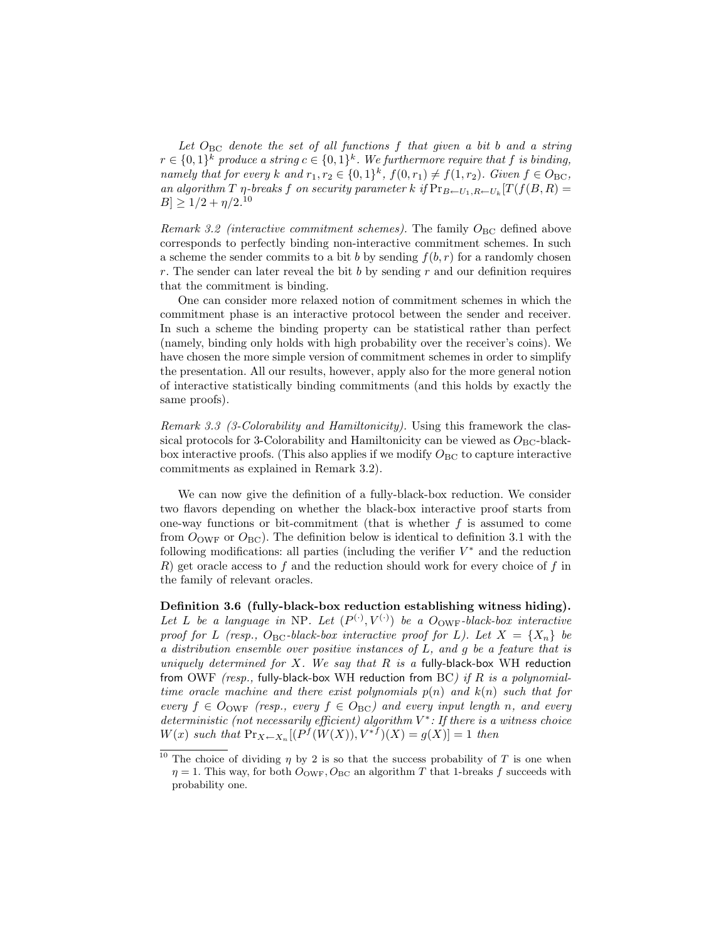Let  $O_{BC}$  denote the set of all functions f that given a bit b and a string  $r \in \{0,1\}^k$  produce a string  $c \in \{0,1\}^k$ . We furthermore require that f is binding, namely that for every k and  $r_1, r_2 \in \{0, 1\}^k$ ,  $f(0, r_1) \neq f(1, r_2)$ . Given  $f \in O_{BC}$ , an algorithm T  $\eta$ -breaks f on security parameter k if  $Pr_{B \leftarrow U_1, R \leftarrow U_k}[T(f(B, R))$  $|B| \geq 1/2 + \eta/2^{10}$ 

Remark 3.2 (interactive commitment schemes). The family  $O_{BC}$  defined above corresponds to perfectly binding non-interactive commitment schemes. In such a scheme the sender commits to a bit b by sending  $f(b, r)$  for a randomly chosen r. The sender can later reveal the bit b by sending r and our definition requires that the commitment is binding.

One can consider more relaxed notion of commitment schemes in which the commitment phase is an interactive protocol between the sender and receiver. In such a scheme the binding property can be statistical rather than perfect (namely, binding only holds with high probability over the receiver's coins). We have chosen the more simple version of commitment schemes in order to simplify the presentation. All our results, however, apply also for the more general notion of interactive statistically binding commitments (and this holds by exactly the same proofs).

Remark 3.3 (3-Colorability and Hamiltonicity). Using this framework the classical protocols for 3-Colorability and Hamiltonicity can be viewed as  $O_{BC}$ -blackbox interactive proofs. (This also applies if we modify  $O_{BC}$  to capture interactive commitments as explained in Remark 3.2).

We can now give the definition of a fully-black-box reduction. We consider two flavors depending on whether the black-box interactive proof starts from one-way functions or bit-commitment (that is whether  $f$  is assumed to come from  $O_{\text{OWF}}$  or  $O_{\text{BC}}$ ). The definition below is identical to definition 3.1 with the following modifications: all parties (including the verifier  $V^*$  and the reduction  $R$ ) get oracle access to  $f$  and the reduction should work for every choice of  $f$  in the family of relevant oracles.

Definition 3.6 (fully-black-box reduction establishing witness hiding). Let L be a language in NP. Let  $(P^{(\cdot)}, V^{(\cdot)})$  be a  $O_{\text{OWF}}$ -black-box interactive proof for L (resp.,  $O_{BC}$ -black-box interactive proof for L). Let  $X = \{X_n\}$  be a distribution ensemble over positive instances of L, and g be a feature that is uniquely determined for X. We say that R is a fully-black-box WH reduction from OWF (resp., fully-black-box WH reduction from BC) if R is a polynomialtime oracle machine and there exist polynomials  $p(n)$  and  $k(n)$  such that for every  $f \in O_{\text{OWF}}$  (resp., every  $f \in O_{\text{BC}}$ ) and every input length n, and every deterministic (not necessarily efficient) algorithm  $V^*$ : If there is a witness choice  $W(x)$  such that  $Pr_{X \leftarrow X_n}[(P^f(W(X)), V^{*f})(X) = g(X)] = 1$  then

<sup>&</sup>lt;sup>10</sup> The choice of dividing  $\eta$  by 2 is so that the success probability of T is one when  $\eta = 1$ . This way, for both  $O_{\text{OWF}}$ ,  $O_{\text{BC}}$  an algorithm T that 1-breaks f succeeds with probability one.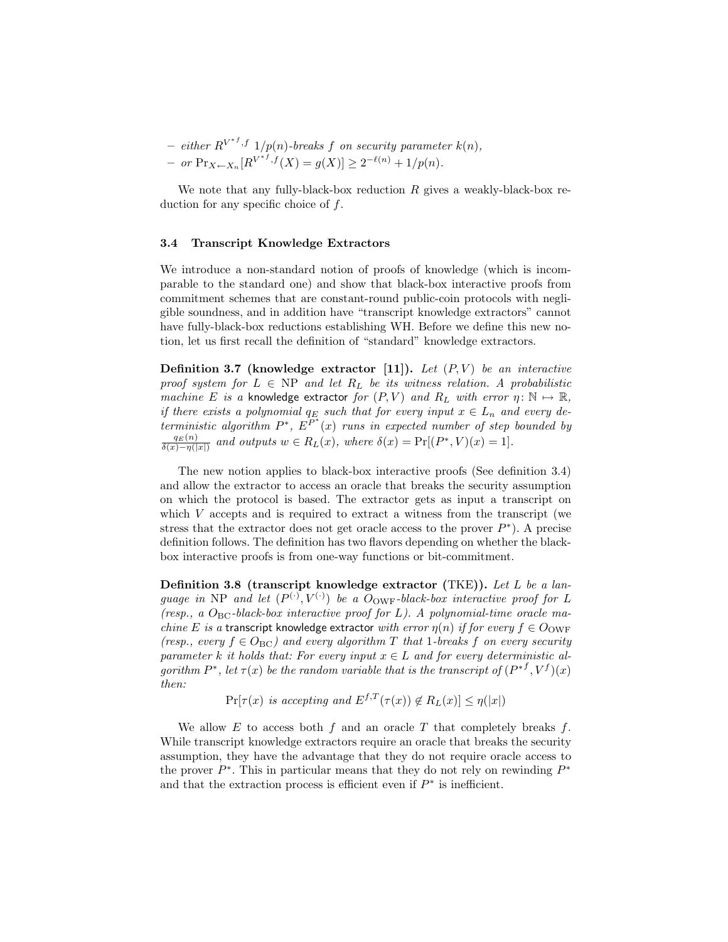$-$  either  $R^{V^{*f},f}$  1/p(n)-breaks f on security parameter  $k(n)$ ,  $-$  or  $Pr_{X \leftarrow X_n}[R^{V^{*f},f}(X) = g(X)] \ge 2^{-\ell(n)} + 1/p(n).$ 

We note that any fully-black-box reduction  $R$  gives a weakly-black-box reduction for any specific choice of f.

## 3.4 Transcript Knowledge Extractors

We introduce a non-standard notion of proofs of knowledge (which is incomparable to the standard one) and show that black-box interactive proofs from commitment schemes that are constant-round public-coin protocols with negligible soundness, and in addition have "transcript knowledge extractors" cannot have fully-black-box reductions establishing WH. Before we define this new notion, let us first recall the definition of "standard" knowledge extractors.

**Definition 3.7** (knowledge extractor [11]). Let  $(P, V)$  be an interactive proof system for  $L \in NP$  and let  $R_L$  be its witness relation. A probabilistic machine E is a knowledge extractor for  $(P, V)$  and  $R_L$  with error  $\eta \colon \mathbb{N} \mapsto \mathbb{R}$ , if there exists a polynomial  $q_E$  such that for every input  $x \in L_n$  and every deterministic algorithm  $P^*$ ,  $E^{P^*}(x)$  runs in expected number of step bounded by  $\frac{q_E(n)}{\delta(x)-q(|x|)}$  and outputs  $w \in R_L(x)$ , where  $\delta(x) = \Pr[(P^*, V)(x) = 1]$ .

The new notion applies to black-box interactive proofs (See definition 3.4) and allow the extractor to access an oracle that breaks the security assumption on which the protocol is based. The extractor gets as input a transcript on which  $V$  accepts and is required to extract a witness from the transcript (we stress that the extractor does not get oracle access to the prover  $P^*$ ). A precise definition follows. The definition has two flavors depending on whether the blackbox interactive proofs is from one-way functions or bit-commitment.

Definition 3.8 (transcript knowledge extractor (TKE)). Let L be a language in NP and let  $(P^{(\cdot)}, V^{(\cdot)})$  be a  $O_{\text{OWF}}$ -black-box interactive proof for L (resp., a  $O_{BC}$ -black-box interactive proof for L). A polynomial-time oracle ma*chine E is a* transcript knowledge extractor with error  $\eta(n)$  if for every  $f \in O_{\text{OWF}}$ (resp., every  $f \in O_{BC}$ ) and every algorithm T that 1-breaks f on every security parameter k it holds that: For every input  $x \in L$  and for every deterministic algorithm  $P^*$ , let  $\tau(x)$  be the random variable that is the transcript of  $(P^{*f}, V^f)(x)$ then:

 $\Pr[\tau(x) \text{ is accepting and } E^{f,T}(\tau(x)) \notin R_L(x)] \leq \eta(|x|)$ 

We allow  $E$  to access both  $f$  and an oracle  $T$  that completely breaks  $f$ . While transcript knowledge extractors require an oracle that breaks the security assumption, they have the advantage that they do not require oracle access to the prover  $P^*$ . This in particular means that they do not rely on rewinding  $P^*$ and that the extraction process is efficient even if  $P^*$  is inefficient.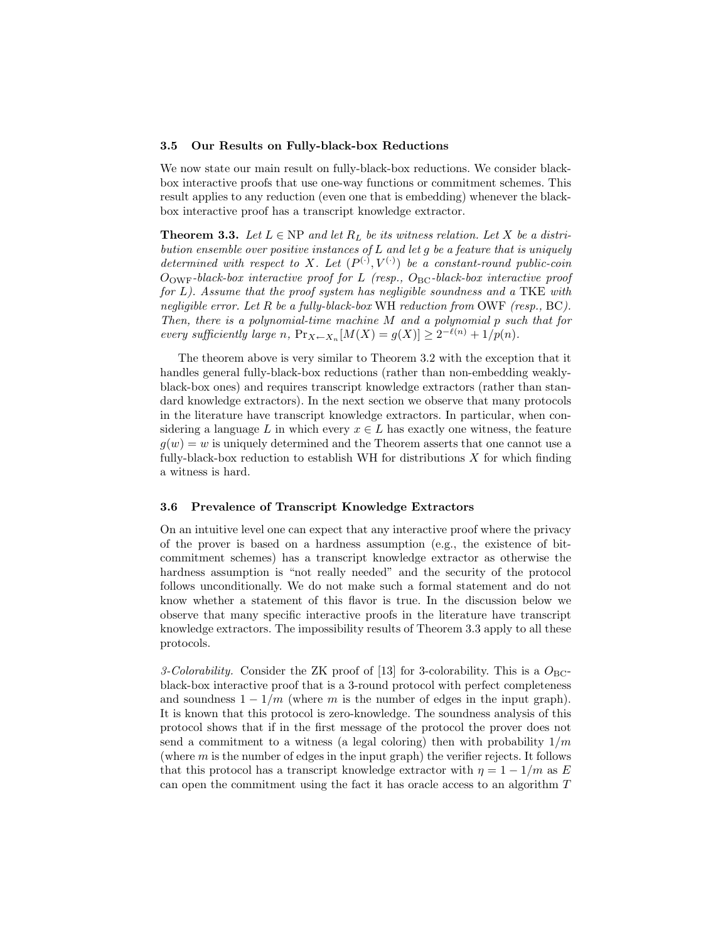#### 3.5 Our Results on Fully-black-box Reductions

We now state our main result on fully-black-box reductions. We consider blackbox interactive proofs that use one-way functions or commitment schemes. This result applies to any reduction (even one that is embedding) whenever the blackbox interactive proof has a transcript knowledge extractor.

**Theorem 3.3.** Let  $L \in NP$  and let  $R_L$  be its witness relation. Let X be a distribution ensemble over positive instances of  $L$  and let  $g$  be a feature that is uniquely determined with respect to X. Let  $(P^{(\cdot)}, V^{(\cdot)})$  be a constant-round public-coin  $O_{\text{OWF}}$ -black-box interactive proof for L (resp.,  $O_{\text{BC}}$ -black-box interactive proof for  $L$ ). Assume that the proof system has negligible soundness and a TKE with negligible error. Let R be a fully-black-box WH reduction from OWF (resp., BC). Then, there is a polynomial-time machine M and a polynomial p such that for every sufficiently large n,  $Pr_{X \leftarrow X_n}[M(X) = g(X)] \geq 2^{-\ell(n)} + 1/p(n)$ .

The theorem above is very similar to Theorem 3.2 with the exception that it handles general fully-black-box reductions (rather than non-embedding weaklyblack-box ones) and requires transcript knowledge extractors (rather than standard knowledge extractors). In the next section we observe that many protocols in the literature have transcript knowledge extractors. In particular, when considering a language L in which every  $x \in L$  has exactly one witness, the feature  $g(w) = w$  is uniquely determined and the Theorem asserts that one cannot use a fully-black-box reduction to establish WH for distributions X for which finding a witness is hard.

## 3.6 Prevalence of Transcript Knowledge Extractors

On an intuitive level one can expect that any interactive proof where the privacy of the prover is based on a hardness assumption (e.g., the existence of bitcommitment schemes) has a transcript knowledge extractor as otherwise the hardness assumption is "not really needed" and the security of the protocol follows unconditionally. We do not make such a formal statement and do not know whether a statement of this flavor is true. In the discussion below we observe that many specific interactive proofs in the literature have transcript knowledge extractors. The impossibility results of Theorem 3.3 apply to all these protocols.

3-Colorability. Consider the ZK proof of [13] for 3-colorability. This is a  $O_{BC}$ black-box interactive proof that is a 3-round protocol with perfect completeness and soundness  $1 - 1/m$  (where m is the number of edges in the input graph). It is known that this protocol is zero-knowledge. The soundness analysis of this protocol shows that if in the first message of the protocol the prover does not send a commitment to a witness (a legal coloring) then with probability  $1/m$ (where  $m$  is the number of edges in the input graph) the verifier rejects. It follows that this protocol has a transcript knowledge extractor with  $\eta = 1 - 1/m$  as E can open the commitment using the fact it has oracle access to an algorithm T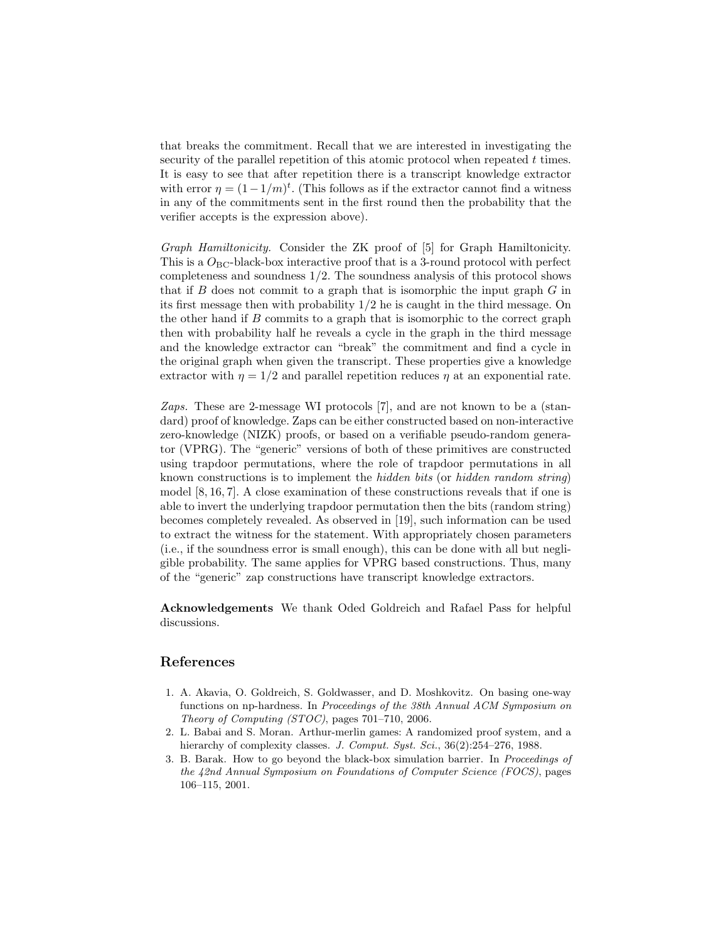that breaks the commitment. Recall that we are interested in investigating the security of the parallel repetition of this atomic protocol when repeated  $t$  times. It is easy to see that after repetition there is a transcript knowledge extractor with error  $\eta = (1 - 1/m)^t$ . (This follows as if the extractor cannot find a witness in any of the commitments sent in the first round then the probability that the verifier accepts is the expression above).

Graph Hamiltonicity. Consider the ZK proof of [5] for Graph Hamiltonicity. This is a  $O_{BC}$ -black-box interactive proof that is a 3-round protocol with perfect completeness and soundness  $1/2$ . The soundness analysis of this protocol shows that if B does not commit to a graph that is isomorphic the input graph  $G$  in its first message then with probability 1/2 he is caught in the third message. On the other hand if  $B$  commits to a graph that is isomorphic to the correct graph then with probability half he reveals a cycle in the graph in the third message and the knowledge extractor can "break" the commitment and find a cycle in the original graph when given the transcript. These properties give a knowledge extractor with  $\eta = 1/2$  and parallel repetition reduces  $\eta$  at an exponential rate.

Zaps. These are 2-message WI protocols [7], and are not known to be a (standard) proof of knowledge. Zaps can be either constructed based on non-interactive zero-knowledge (NIZK) proofs, or based on a verifiable pseudo-random generator (VPRG). The "generic" versions of both of these primitives are constructed using trapdoor permutations, where the role of trapdoor permutations in all known constructions is to implement the hidden bits (or hidden random string) model [8, 16, 7]. A close examination of these constructions reveals that if one is able to invert the underlying trapdoor permutation then the bits (random string) becomes completely revealed. As observed in [19], such information can be used to extract the witness for the statement. With appropriately chosen parameters (i.e., if the soundness error is small enough), this can be done with all but negligible probability. The same applies for VPRG based constructions. Thus, many of the "generic" zap constructions have transcript knowledge extractors.

Acknowledgements We thank Oded Goldreich and Rafael Pass for helpful discussions.

# References

- 1. A. Akavia, O. Goldreich, S. Goldwasser, and D. Moshkovitz. On basing one-way functions on np-hardness. In Proceedings of the 38th Annual ACM Symposium on Theory of Computing (STOC), pages 701–710, 2006.
- 2. L. Babai and S. Moran. Arthur-merlin games: A randomized proof system, and a hierarchy of complexity classes. J. Comput. Syst. Sci., 36(2):254-276, 1988.
- 3. B. Barak. How to go beyond the black-box simulation barrier. In Proceedings of the 42nd Annual Symposium on Foundations of Computer Science (FOCS), pages 106–115, 2001.